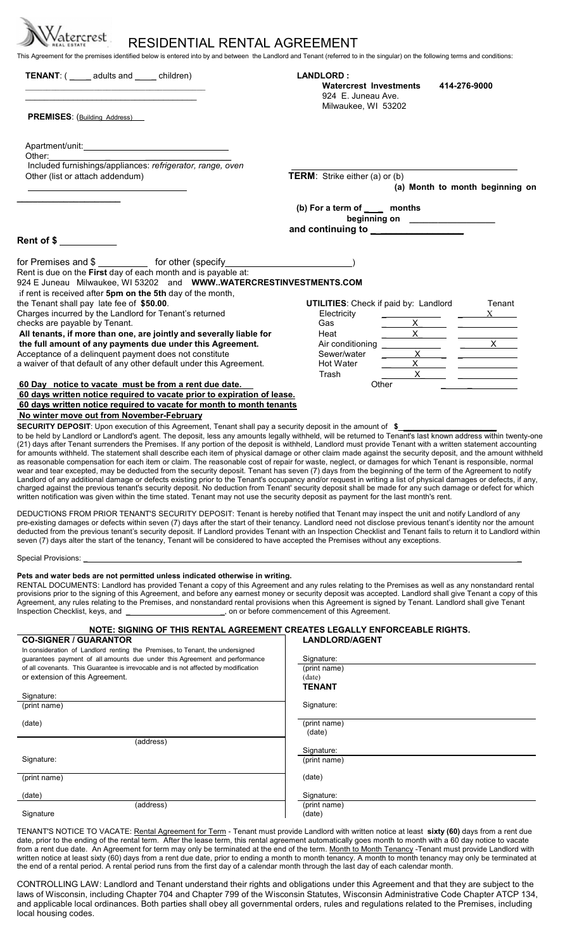| atercrest<br>RESIDENTIAL RENTAL AGREEMENT                                                                                                                                                                                                                                                                                                                                                                                                                                                                                                                                                                                                                                                                                                                                                                                                                                                                                                                                                                                                                                                                                                                                                                                                                                                                                                                                                           |                                                                  |                                  |                                 |
|-----------------------------------------------------------------------------------------------------------------------------------------------------------------------------------------------------------------------------------------------------------------------------------------------------------------------------------------------------------------------------------------------------------------------------------------------------------------------------------------------------------------------------------------------------------------------------------------------------------------------------------------------------------------------------------------------------------------------------------------------------------------------------------------------------------------------------------------------------------------------------------------------------------------------------------------------------------------------------------------------------------------------------------------------------------------------------------------------------------------------------------------------------------------------------------------------------------------------------------------------------------------------------------------------------------------------------------------------------------------------------------------------------|------------------------------------------------------------------|----------------------------------|---------------------------------|
| This Agreement for the premises identified below is entered into by and between the Landlord and Tenant (referred to in the singular) on the following terms and conditions:<br><b>TENANT:</b> ( ______ adults and _____ children)                                                                                                                                                                                                                                                                                                                                                                                                                                                                                                                                                                                                                                                                                                                                                                                                                                                                                                                                                                                                                                                                                                                                                                  | <b>LANDLORD:</b><br>Watercrest Investments<br>924 E. Juneau Ave. | 414-276-9000                     |                                 |
| <b>PREMISES:</b> (Building Address)                                                                                                                                                                                                                                                                                                                                                                                                                                                                                                                                                                                                                                                                                                                                                                                                                                                                                                                                                                                                                                                                                                                                                                                                                                                                                                                                                                 | Milwaukee, WI 53202                                              |                                  |                                 |
| Apartment/unit: Apartment/unit:                                                                                                                                                                                                                                                                                                                                                                                                                                                                                                                                                                                                                                                                                                                                                                                                                                                                                                                                                                                                                                                                                                                                                                                                                                                                                                                                                                     |                                                                  |                                  |                                 |
| Other: and the state of the state of the state of the state of the state of the state of the state of the state of the state of the state of the state of the state of the state of the state of the state of the state of the                                                                                                                                                                                                                                                                                                                                                                                                                                                                                                                                                                                                                                                                                                                                                                                                                                                                                                                                                                                                                                                                                                                                                                      |                                                                  |                                  |                                 |
| Included furnishings/appliances: refrigerator, range, oven<br>Other (list or attach addendum)                                                                                                                                                                                                                                                                                                                                                                                                                                                                                                                                                                                                                                                                                                                                                                                                                                                                                                                                                                                                                                                                                                                                                                                                                                                                                                       | <b>TERM:</b> Strike either (a) or (b)                            |                                  | (a) Month to month beginning on |
|                                                                                                                                                                                                                                                                                                                                                                                                                                                                                                                                                                                                                                                                                                                                                                                                                                                                                                                                                                                                                                                                                                                                                                                                                                                                                                                                                                                                     | (b) For a term of ____ months                                    | beginning on ___________________ |                                 |
|                                                                                                                                                                                                                                                                                                                                                                                                                                                                                                                                                                                                                                                                                                                                                                                                                                                                                                                                                                                                                                                                                                                                                                                                                                                                                                                                                                                                     |                                                                  |                                  |                                 |
| Rent of \$                                                                                                                                                                                                                                                                                                                                                                                                                                                                                                                                                                                                                                                                                                                                                                                                                                                                                                                                                                                                                                                                                                                                                                                                                                                                                                                                                                                          |                                                                  |                                  |                                 |
|                                                                                                                                                                                                                                                                                                                                                                                                                                                                                                                                                                                                                                                                                                                                                                                                                                                                                                                                                                                                                                                                                                                                                                                                                                                                                                                                                                                                     |                                                                  |                                  |                                 |
| for Premises and \$ _____________ for other (specify ____________________________                                                                                                                                                                                                                                                                                                                                                                                                                                                                                                                                                                                                                                                                                                                                                                                                                                                                                                                                                                                                                                                                                                                                                                                                                                                                                                                   |                                                                  |                                  |                                 |
| Rent is due on the First day of each month and is payable at:                                                                                                                                                                                                                                                                                                                                                                                                                                                                                                                                                                                                                                                                                                                                                                                                                                                                                                                                                                                                                                                                                                                                                                                                                                                                                                                                       |                                                                  |                                  |                                 |
| 924 E Juneau Milwaukee, WI 53202 and WWWWATERCRESTINVESTMENTS.COM                                                                                                                                                                                                                                                                                                                                                                                                                                                                                                                                                                                                                                                                                                                                                                                                                                                                                                                                                                                                                                                                                                                                                                                                                                                                                                                                   |                                                                  |                                  |                                 |
| if rent is received after 5pm on the 5th day of the month,                                                                                                                                                                                                                                                                                                                                                                                                                                                                                                                                                                                                                                                                                                                                                                                                                                                                                                                                                                                                                                                                                                                                                                                                                                                                                                                                          |                                                                  |                                  |                                 |
| the Tenant shall pay late fee of \$50.00.                                                                                                                                                                                                                                                                                                                                                                                                                                                                                                                                                                                                                                                                                                                                                                                                                                                                                                                                                                                                                                                                                                                                                                                                                                                                                                                                                           | <b>UTILITIES:</b> Check if paid by: Landlord                     |                                  | Tenant                          |
| Charges incurred by the Landlord for Tenant's returned                                                                                                                                                                                                                                                                                                                                                                                                                                                                                                                                                                                                                                                                                                                                                                                                                                                                                                                                                                                                                                                                                                                                                                                                                                                                                                                                              | Electricity                                                      |                                  | $X \sim$                        |
| checks are payable by Tenant.                                                                                                                                                                                                                                                                                                                                                                                                                                                                                                                                                                                                                                                                                                                                                                                                                                                                                                                                                                                                                                                                                                                                                                                                                                                                                                                                                                       | Gas                                                              | $\mathsf{X}^-$                   |                                 |
| All tenants, if more than one, are jointly and severally liable for                                                                                                                                                                                                                                                                                                                                                                                                                                                                                                                                                                                                                                                                                                                                                                                                                                                                                                                                                                                                                                                                                                                                                                                                                                                                                                                                 | Heat                                                             | $x \sim$                         | $\frac{1}{\sqrt{1-x^2}}$        |
| the full amount of any payments due under this Agreement.<br>Acceptance of a delinquent payment does not constitute                                                                                                                                                                                                                                                                                                                                                                                                                                                                                                                                                                                                                                                                                                                                                                                                                                                                                                                                                                                                                                                                                                                                                                                                                                                                                 | Air conditioning<br>Sewer/water                                  | $X -$                            |                                 |
| a waiver of that default of any other default under this Agreement.                                                                                                                                                                                                                                                                                                                                                                                                                                                                                                                                                                                                                                                                                                                                                                                                                                                                                                                                                                                                                                                                                                                                                                                                                                                                                                                                 | Hot Water                                                        | $\times$                         |                                 |
|                                                                                                                                                                                                                                                                                                                                                                                                                                                                                                                                                                                                                                                                                                                                                                                                                                                                                                                                                                                                                                                                                                                                                                                                                                                                                                                                                                                                     | Trash                                                            | $\mathsf{X}^-$                   |                                 |
| 60 Day notice to vacate must be from a rent due date.                                                                                                                                                                                                                                                                                                                                                                                                                                                                                                                                                                                                                                                                                                                                                                                                                                                                                                                                                                                                                                                                                                                                                                                                                                                                                                                                               | Other                                                            |                                  |                                 |
| 60 days written notice required to vacate prior to expiration of lease.                                                                                                                                                                                                                                                                                                                                                                                                                                                                                                                                                                                                                                                                                                                                                                                                                                                                                                                                                                                                                                                                                                                                                                                                                                                                                                                             |                                                                  |                                  |                                 |
| 60 days written notice required to vacate for month to month tenants                                                                                                                                                                                                                                                                                                                                                                                                                                                                                                                                                                                                                                                                                                                                                                                                                                                                                                                                                                                                                                                                                                                                                                                                                                                                                                                                |                                                                  |                                  |                                 |
| No winter move out from November-February                                                                                                                                                                                                                                                                                                                                                                                                                                                                                                                                                                                                                                                                                                                                                                                                                                                                                                                                                                                                                                                                                                                                                                                                                                                                                                                                                           |                                                                  |                                  |                                 |
| SECURITY DEPOSIT: Upon execution of this Agreement, Tenant shall pay a security deposit in the amount of \$<br>to be held by Landlord or Landlord's agent. The deposit, less any amounts legally withheld, will be returned to Tenant's last known address within twenty-one<br>(21) days after Tenant surrenders the Premises. If any portion of the deposit is withheld, Landlord must provide Tenant with a written statement accounting<br>for amounts withheld. The statement shall describe each item of physical damage or other claim made against the security deposit, and the amount withheld<br>as reasonable compensation for each item or claim. The reasonable cost of repair for waste, neglect, or damages for which Tenant is responsible, normal<br>wear and tear excepted, may be deducted from the security deposit. Tenant has seven (7) days from the beginning of the term of the Agreement to notify<br>Landlord of any additional damage or defects existing prior to the Tenant's occupancy and/or request in writing a list of physical damages or defects, if any,<br>charged against the previous tenant's security deposit. No deduction from Tenant' security deposit shall be made for any such damage or defect for which<br>written notification was given within the time stated. Tenant may not use the security deposit as payment for the last month's rent. |                                                                  |                                  |                                 |
| DEDUCTIONS FROM PRIOR TENANT'S SECURITY DEPOSIT: Tenant is hereby notified that Tenant may inspect the unit and notify Landlord of any<br>pre-existing damages or defects within seven (7) days after the start of their tenancy. Landlord need not disclose previous tenant's identity nor the amount<br>deducted from the previous tenant's security deposit. If Landlord provides Tenant with an Inspection Checklist and Tenant fails to return it to Landlord within<br>seven (7) days alter the start of the tenancy, Tenant will be considered to have accepted the Premises without any exceptions.                                                                                                                                                                                                                                                                                                                                                                                                                                                                                                                                                                                                                                                                                                                                                                                         |                                                                  |                                  |                                 |
| Special Provisions: <u>contract and contract and contract and contract and contract and contract and contract and contract and contract and contract and contract and contract and contract and contract and contract and contra</u>                                                                                                                                                                                                                                                                                                                                                                                                                                                                                                                                                                                                                                                                                                                                                                                                                                                                                                                                                                                                                                                                                                                                                                |                                                                  |                                  |                                 |
| Pets and water beds are not permitted unless indicated otherwise in writing.<br>RENTAL DOCUMENTS: Landlord has provided Tenant a copy of this Agreement and any rules relating to the Premises as well as any nonstandard rental<br>provisions prior to the signing of this Agreement, and before any earnest money or security deposit was accepted. Landlord shall give Tenant a copy of this<br>Agreement, any rules relating to the Premises, and nonstandard rental provisions when this Agreement is signed by Tenant. Landlord shall give Tenant<br>Inspection Checklist, keys, and ___________________________, on or before commencement of this Agreement.                                                                                                                                                                                                                                                                                                                                                                                                                                                                                                                                                                                                                                                                                                                                |                                                                  |                                  |                                 |
| NOTE: SIGNING OF THIS RENTAL AGREEMENT CREATES LEGALLY ENFORCEABLE RIGHTS.                                                                                                                                                                                                                                                                                                                                                                                                                                                                                                                                                                                                                                                                                                                                                                                                                                                                                                                                                                                                                                                                                                                                                                                                                                                                                                                          |                                                                  |                                  |                                 |
| <b>CO-SIGNER / GUARANTOR</b>                                                                                                                                                                                                                                                                                                                                                                                                                                                                                                                                                                                                                                                                                                                                                                                                                                                                                                                                                                                                                                                                                                                                                                                                                                                                                                                                                                        | <b>LANDLORD/AGENT</b>                                            |                                  |                                 |
| In consideration of Landlord renting the Premises, to Tenant, the undersigned                                                                                                                                                                                                                                                                                                                                                                                                                                                                                                                                                                                                                                                                                                                                                                                                                                                                                                                                                                                                                                                                                                                                                                                                                                                                                                                       |                                                                  |                                  |                                 |
|                                                                                                                                                                                                                                                                                                                                                                                                                                                                                                                                                                                                                                                                                                                                                                                                                                                                                                                                                                                                                                                                                                                                                                                                                                                                                                                                                                                                     |                                                                  |                                  |                                 |

| <b>CO-SIGNER / GUARANTUR</b>                                                        | LANDLURD/AGENT |
|-------------------------------------------------------------------------------------|----------------|
| In consideration of Landlord renting the Premises, to Tenant, the undersigned       |                |
| guarantees payment of all amounts due under this Agreement and performance          | Signature:     |
| of all covenants. This Guarantee is irrevocable and is not affected by modification | (print name)   |
| or extension of this Agreement.                                                     | (date)         |
|                                                                                     | <b>TENANT</b>  |
| Signature:                                                                          |                |
| (print name)                                                                        | Signature:     |
| (date)                                                                              | (print name)   |
|                                                                                     | (date)         |
| (address)                                                                           |                |
|                                                                                     | Signature:     |
| Signature:                                                                          | (print name)   |
| (print name)                                                                        | (date)         |
| (date)                                                                              | Signature:     |
| (address)                                                                           | (print name)   |
| Signature                                                                           | (date)         |

TENANT'S NOTICE TO VACATE: Rental Agreement for Term - Tenant must provide Landlord with written notice at least **sixty (60)** days from a rent due date, prior to the ending of the rental term. After the lease term, this rental agreement automatically goes month to month with a 60 day notice to vacate from a rent due date. An Agreement for term may only be terminated at the end of the term. Month to Month Tenancy -Tenant must provide Landlord with written notice at least sixty (60) days from a rent due date, prior to ending a month to month tenancy. A month to month tenancy may only be terminated at the end of a rental period. A rental period runs from the first day of a calendar month through the last day of each calendar month.

CONTROLLING LAW: Landlord and Tenant understand their rights and obligations under this Agreement and that they are subject to the laws of Wisconsin, including Chapter 704 and Chapter 799 of the Wisconsin Statutes, Wisconsin Administrative Code Chapter ATCP 134, and applicable local ordinances. Both parties shall obey all governmental orders, rules and regulations related to the Premises, including local housing codes.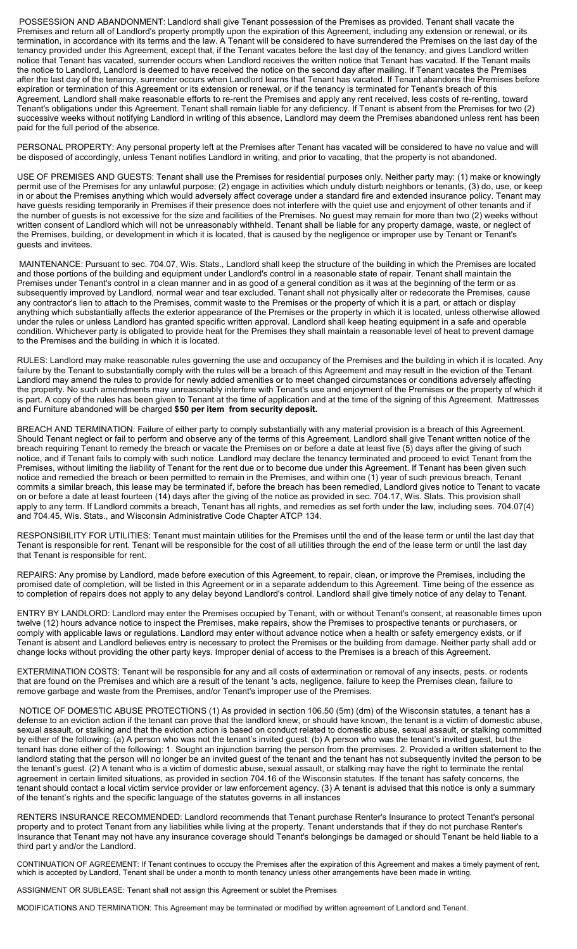POSSESSION AND ABANDONMENT: Landlord shall give Tenant possession of the Premises as provided. Tenant shall vacate the Premises and return all of Landlord's property promptly upon the expiration of this Agreement, including any extension or renewal, or its termination, in accordance with its terms and the law. A Tenant will be considered to have surrendered the Premises on the last day of the tenancy provided under this Agreement, except that, if the Tenant vacates before the last day of the tenancy, and gives Landlord written notice that Tenant has vacated, surrender occurs when Landlord receives the written notice that Tenant has vacated. If the Tenant mails the notice to Landlord, Landlord is deemed to have received the notice on the second day after mailing. If Tenant vacates the Premises after the last day of the tenancy, surrender occurs when Landlord learns that Tenant has vacated. If Tenant abandons the Premises before expiration or termination of this Agreement or its extension or renewal, or if the tenancy is terminated for Tenant's breach of this Agreement, Landlord shall make reasonable efforts to re-rent the Premises and apply any rent received, less costs of re-renting, toward Tenant's obligations under this Agreement. Tenant shall remain liable for any deficiency. If Tenant is absent from the Premises for two (2) successive weeks without notifying Landlord in writing of this absence, Landlord may deem the Premises abandoned unless rent has been paid for the full period of the absence.

PERSONAL PROPERTY: Any personal property left at the Premises after Tenant has vacated will be considered to have no value and will be disposed of accordingly, unless Tenant notifies Landlord in writing, and prior to vacating, that the property is not abandoned.

USE OF PREMISES AND GUESTS: Tenant shall use the Premises for residential purposes only. Neither party may: (1) make or knowingly permit use of the Premises for any unlawful purpose; (2) engage in activities which unduly disturb neighbors or tenants, (3) do, use, or keep in or about the Premises anything which would adversely affect coverage under a standard fire and extended insurance policy. Tenant may have guests residing temporarily in Premises if their presence does not interfere with the quiet use and enjoyment of other tenants and if the number of guests is not excessive for the size and facilities of the Premises. No guest may remain for more than two (2) weeks without written consent of Landlord which will not be unreasonably withheld. Tenant shall be liable for any property damage, waste, or neglect of the Premises, building, or development in which it is located, that is caused by the negligence or improper use by Tenant or Tenant's guests and invitees.

 MAINTENANCE: Pursuant to sec. 704.07, Wis. Stats., Landlord shall keep the structure of the building in which the Premises are located and those portions of the building and equipment under Landlord's control in a reasonable state of repair. Tenant shall maintain the Premises under Tenant's control in a clean manner and in as good of a general condition as it was at the beginning of the term or as subsequently improved by Landlord, normal wear and tear excluded. Tenant shall not physically alter or redecorate the Premises, cause any contractor's lien to attach to the Premises, commit waste to the Premises or the property of which it is a part, or attach or display anything which substantially affects the exterior appearance of the Premises or the property in which it is located, unless otherwise allowed under the rules or unless Landlord has granted specific written approval. Landlord shall keep heating equipment in a safe and operable condition. Whichever party is obligated to provide heat for the Premises they shall maintain a reasonable level of heat to prevent damage to the Premises and the building in which it is located.

RULES: Landlord may make reasonable rules governing the use and occupancy of the Premises and the building in which it is located. Any failure by the Tenant to substantially comply with the rules will be a breach of this Agreement and may result in the eviction of the Tenant. Landlord may amend the rules to provide for newly added amenities or to meet changed circumstances or conditions adversely affecting the property. No such amendments may unreasonably interfere with Tenant's use and enjoyment of the Premises or the property of which it is part. A copy of the rules has been given to Tenant at the time of application and at the time of the signing of this Agreement. Mattresses and Furniture abandoned will be charged **\$50 per item from security deposit.**

BREACH AND TERMINATION: Failure of either party to comply substantially with any material provision is a breach of this Agreement. Should Tenant neglect or fail to perform and observe any of the terms of this Agreement, Landlord shall give Tenant written notice of the breach requiring Tenant to remedy the breach or vacate the Premises on or before a date at least five (5) days after the giving of such notice, and if Tenant fails to comply with such notice. Landlord may declare the tenancy terminated and proceed to evict Tenant from the Premises, without limiting the liability of Tenant for the rent due or to become due under this Agreement. If Tenant has been given such notice and remedied the breach or been permitted to remain in the Premises, and within one (1) year of such previous breach, Tenant commits a similar breach, this lease may be terminated if, before the breach has been remedied, Landlord gives notice to Tenant to vacate on or before a date at least fourteen (14) days after the giving of the notice as provided in sec. 704.17, Wis. Slats. This provision shall apply to any term. If Landlord commits a breach, Tenant has all rights, and remedies as set forth under the law, including sees. 704.07(4) and 704.45, Wis. Stats., and Wisconsin Administrative Code Chapter ATCP 134.

RESPONSIBILITY FOR UTILITIES: Tenant must maintain utilities for the Premises until the end of the lease term or until the last day that Tenant is responsible for rent. Tenant will be responsible for the cost of all utilities through the end of the lease term or until the last day that Tenant is responsible for rent.

REPAIRS: Any promise by Landlord, made before execution of this Agreement, to repair, clean, or improve the Premises, including the promised date of completion, will be listed in this Agreement or in a separate addendum to this Agreement. Time being of the essence as to completion of repairs does not apply to any delay beyond Landlord's control. Landlord shall give timely notice of any delay to Tenant.

ENTRY BY LANDLORD: Landlord may enter the Premises occupied by Tenant, with or without Tenant's consent, at reasonable times upon twelve (12) hours advance notice to inspect the Premises, make repairs, show the Premises to prospective tenants or purchasers, or comply with applicable laws or regulations. Landlord may enter without advance notice when a health or safety emergency exists, or if Tenant is absent and Landlord believes entry is necessary to protect the Premises or the building from damage. Neither party shall add or change locks without providing the other party keys. Improper denial of access to the Premises is a breach of this Agreement.

EXTERMINATION COSTS: Tenant will be responsible for any and all costs of extermination or removal of any insects, pests. or rodents that are found on the Premises and which are a result of the tenant 's acts, negligence, failure to keep the Premises clean, failure to remove garbage and waste from the Premises, and/or Tenant's improper use of the Premises.

 NOTICE OF DOMESTIC ABUSE PROTECTIONS (1) As provided in section 106.50 (5m) (dm) of the Wisconsin statutes, a tenant has a defense to an eviction action if the tenant can prove that the landlord knew, or should have known, the tenant is a victim of domestic abuse, sexual assault, or stalking and that the eviction action is based on conduct related to domestic abuse, sexual assault, or stalking committed by either of the following: (a) A person who was not the tenant's invited guest. (b) A person who was the tenant's invited guest, but the tenant has done either of the following: 1. Sought an injunction barring the person from the premises. 2. Provided a written statement to the landlord stating that the person will no longer be an invited guest of the tenant and the tenant has not subsequently invited the person to be the tenant's guest. (2) A tenant who is a victim of domestic abuse, sexual assault, or stalking may have the right to terminate the rental agreement in certain limited situations, as provided in section 704.16 of the Wisconsin statutes. If the tenant has safety concerns, the tenant should contact a local victim service provider or law enforcement agency. (3) A tenant is advised that this notice is only a summary of the tenant's rights and the specific language of the statutes governs in all instances

RENTERS INSURANCE RECOMMENDED: Landlord recommends that Tenant purchase Renter's Insurance to protect Tenant's personal property and to protect Tenant from any liabilities while living at the property. Tenant understands that if they do not purchase Renter's Insurance that Tenant may not have any insurance coverage should Tenant's belongings be damaged or should Tenant be held liable to a third part y and/or the Landlord.

CONTINUATION OF AGREEMENT: If Tenant continues to occupy the Premises after the expiration of this Agreement and makes a timely payment of rent, which is accepted by Landlord, Tenant shall be under a month to month tenancy unless other arrangements have been made in writing.

ASSIGNMENT OR SUBLEASE: Tenant shall not assign this Agreement or sublet the Premises

MODIFICATIONS AND TERMINATION: This Agreement may be terminated or modified by written agreement of Landlord and Tenant.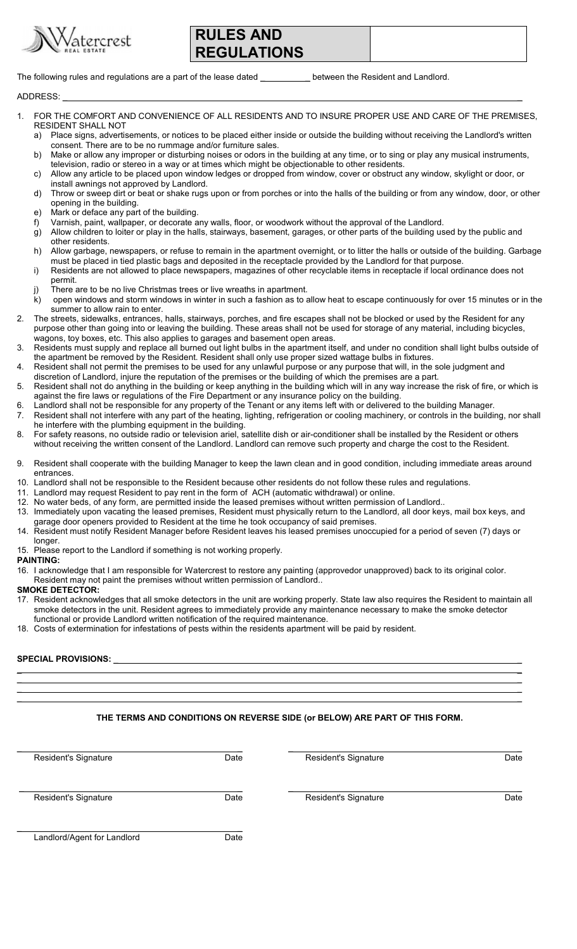

## **ES AND REGULATIONS**

The following rules and regulations are a part of the lease dated \_\_\_\_\_\_\_\_\_\_\_\_ between the Resident and Landlord.

ADDRESS: \_ \_

- FOR THE COMFORT AND CONVENIENCE OF ALL RESIDENTS AND TO INSURE PROPER USE AND CARE OF THE PREMISES, RESIDENT SHALL NOT
	- a) Place signs, advertisements, or notices to be placed either inside or outside the building without receiving the Landlord's written consent. There are to be no rummage and/or furniture sales.
	- b) Make or allow any improper or disturbing noises or odors in the building at any time, or to sing or play any musical instruments, television, radio or stereo in a way or at times which might be objectionable to other residents.
	- c) Allow any article to be placed upon window ledges or dropped from window, cover or obstruct any window, skylight or door, or install awnings not approved by Landlord.
	- d) Throw or sweep dirt or beat or shake rugs upon or from porches or into the halls of the building or from any window, door, or other opening in the building.
	- e) Mark or deface any part of the building.
	- f) Varnish, paint, wallpaper, or decorate any walls, floor, or woodwork without the approval of the Landlord.
	- g) Allow children to loiter or play in the halls, stairways, basement, garages, or other parts of the building used by the public and other residents.
	- h) Allow garbage, newspapers, or refuse to remain in the apartment overnight, or to litter the halls or outside of the building. Garbage must be placed in tied plastic bags and deposited in the receptacle provided by the Landlord for that purpose.
	- i) Residents are not allowed to place newspapers, magazines of other recyclable items in receptacle if local ordinance does not permit.
	- There are to be no live Christmas trees or live wreaths in apartment.
	- k) open windows and storm windows in winter in such a fashion as to allow heat to escape continuously for over 15 minutes or in the summer to allow rain to enter.
- 2. The streets, sidewalks, entrances, halls, stairways, porches, and fire escapes shall not be blocked or used by the Resident for any purpose other than going into or leaving the building. These areas shall not be used for storage of any material, including bicycles, wagons, toy boxes, etc. This also applies to garages and basement open areas.
- 3. Residents must supply and replace all burned out light bulbs in the apartment itself, and under no condition shall light bulbs outside of the apartment be removed by the Resident. Resident shall only use proper sized wattage bulbs in fixtures.
- 4. Resident shall not permit the premises to be used for any unlawful purpose or any purpose that will, in the sole judgment and discretion of Landlord, injure the reputation of the premises or the building of which the premises are a part.
- 5. Resident shall not do anything in the building or keep anything in the building which will in any way increase the risk of fire, or which is against the fire laws or regulations of the Fire Department or any insurance policy on the building.
- 6. Landlord shall not be responsible for any property of the Tenant or any items left with or delivered to the building Manager.
- 7. Resident shall not interfere with any part of the heating, lighting, refrigeration or cooling machinery, or controls in the building, nor shall he interfere with the plumbing equipment in the building.
- 8. For safety reasons, no outside radio or television ariel, satellite dish or air-conditioner shall be installed by the Resident or others without receiving the written consent of the Landlord. Landlord can remove such property and charge the cost to the Resident.
- 9. Resident shall cooperate with the building Manager to keep the lawn clean and in good condition, including immediate areas around entrances.
- 10. Landlord shall not be responsible to the Resident because other residents do not follow these rules and regulations.
- Landlord may request Resident to pay rent in the form of ACH (automatic withdrawal) or online.
- 12. No water beds, of any form, are permitted inside the leased premises without written permission of Landlord..
- 13. Immediately upon vacating the leased premises, Resident must physically return to the Landlord, all door keys, mail box keys, and garage door openers provided to Resident at the time he took occupancy of said premises.
- 14. Resident must notify Resident Manager before Resident leaves his leased premises unoccupied for a period of seven (7) days or longer.
- 15. Please report to the Landlord if something is not working properly.
- **PAINTING:**
- 16. I acknowledge that I am responsible for Watercrest to restore any painting (approvedor unapproved) back to its original color. Resident may not paint the premises without written permission of Landlord..

#### **SMOKE DETECTOR:**

17. Resident acknowledges that all smoke detectors in the unit are working properly. State law also requires the Resident to maintain all smoke detectors in the unit. Resident agrees to immediately provide any maintenance necessary to make the smoke detector functional or provide Landlord written notification of the required maintenance.

 $\mathcal{L} = \{ \mathcal{L} \mid \mathcal{L} \in \mathcal{L} \}$  , where  $\mathcal{L} = \{ \mathcal{L} \mid \mathcal{L} \in \mathcal{L} \}$  , where  $\mathcal{L} = \{ \mathcal{L} \mid \mathcal{L} \in \mathcal{L} \}$  $\mathcal{L} = \{ \mathcal{L} \mid \mathcal{L} \in \mathcal{L} \}$  , where  $\mathcal{L} = \{ \mathcal{L} \mid \mathcal{L} \in \mathcal{L} \}$  , where  $\mathcal{L} = \{ \mathcal{L} \mid \mathcal{L} \in \mathcal{L} \}$  $\mathcal{L} = \{ \mathcal{L} \mid \mathcal{L} \in \mathcal{L} \}$  , where  $\mathcal{L} = \{ \mathcal{L} \mid \mathcal{L} \in \mathcal{L} \}$  , where  $\mathcal{L} = \{ \mathcal{L} \mid \mathcal{L} \in \mathcal{L} \}$  $\mathcal{L} = \{ \mathcal{L} \mid \mathcal{L} \in \mathcal{L} \}$  , where  $\mathcal{L} = \{ \mathcal{L} \mid \mathcal{L} \in \mathcal{L} \}$  , where  $\mathcal{L} = \{ \mathcal{L} \mid \mathcal{L} \in \mathcal{L} \}$ 

18. Costs of extermination for infestations of pests within the residents apartment will be paid by resident.

### SPECIAL PROVISIONS: \_

## **THE TERMS AND CONDITIONS ON REVERSE SIDE (or BELOW) ARE PART OF THIS FORM.**

| Resident's Signature        | Date | Resident's Signature | Date |
|-----------------------------|------|----------------------|------|
| Resident's Signature        | Date | Resident's Signature | Date |
| Landlord/Agent for Landlord | Date |                      |      |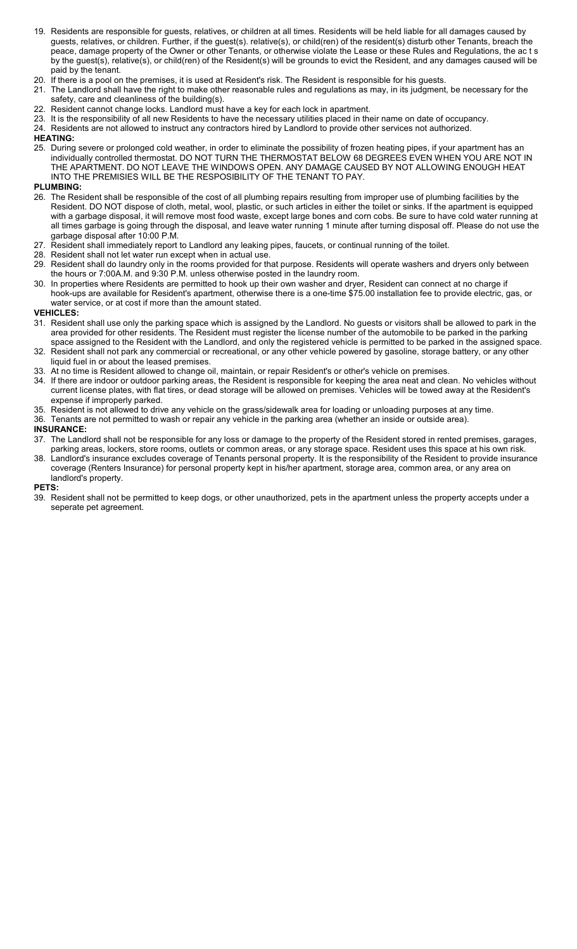- 19. Residents are responsible for guests, relatives, or children at all times. Residents will be held liable for all damages caused by guests, relatives, or children. Further, if the guest(s). relative(s), or child(ren) of the resident(s) disturb other Tenants, breach the peace, damage property of the Owner or other Tenants, or otherwise violate the Lease or these Rules and Regulations, the ac t s by the guest(s), relative(s), or child(ren) of the Resident(s) will be grounds to evict the Resident, and any damages caused will be paid by the tenant.
- 20. If there is a pool on the premises, it is used at Resident's risk. The Resident is responsible for his guests.
- 21. The Landlord shall have the right to make other reasonable rules and regulations as may, in its judgment, be necessary for the safety, care and cleanliness of the building(s).
- 22. Resident cannot change locks. Landlord must have a key for each lock in apartment.
- 23. It is the responsibility of all new Residents to have the necessary utilities placed in their name on date of occupancy.
- 24. Residents are not allowed to instruct any contractors hired by Landlord to provide other services not authorized.

### **HEATING:**

25. During severe or prolonged cold weather, in order to eliminate the possibility of frozen heating pipes, if your apartment has an individually controlled thermostat. DO NOT TURN THE THERMOSTAT BELOW 68 DEGREES EVEN WHEN YOU ARE NOT IN THE APARTMENT. DO NOT LEAVE THE WINDOWS OPEN. ANY DAMAGE CAUSED BY NOT ALLOWING ENOUGH HEAT INTO THE PREMISIES WILL BE THE RESPOSIBILITY OF THE TENANT TO PAY.

### **PLUMBING:**

- 26. The Resident shall be responsible of the cost of all plumbing repairs resulting from improper use of plumbing facilities by the Resident. DO NOT dispose of cloth, metal, wool, plastic, or such articles in either the toilet or sinks. If the apartment is equipped with a garbage disposal, it will remove most food waste, except large bones and corn cobs. Be sure to have cold water running at all times garbage is going through the disposal, and leave water running 1 minute after turning disposal off. Please do not use the garbage disposal after 10:00 P.M.
- 27. Resident shall immediately report to Landlord any leaking pipes, faucets, or continual running of the toilet.
- 28. Resident shall not let water run except when in actual use.
- 29. Resident shall do laundry only in the rooms provided for that purpose. Residents will operate washers and dryers only between the hours or 7:00A.M. and 9:30 P.M. unless otherwise posted in the laundry room.
- 30. In properties where Residents are permitted to hook up their own washer and dryer, Resident can connect at no charge if hook-ups are available for Resident's apartment, otherwise there is a one-time \$75.00 installation fee to provide electric, gas, or water service, or at cost if more than the amount stated.

#### **VEHICLES:**

- 31. Resident shall use only the parking space which is assigned by the Landlord. No guests or visitors shall be allowed to park in the area provided for other residents. The Resident must register the license number of the automobile to be parked in the parking space assigned to the Resident with the Landlord, and only the registered vehicle is permitted to be parked in the assigned space.
- 32. Resident shall not park any commercial or recreational, or any other vehicle powered by gasoline, storage battery, or any other liquid fuel in or about the leased premises.
- 33. At no time is Resident allowed to change oil, maintain, or repair Resident's or other's vehicle on premises.
- 34. If there are indoor or outdoor parking areas, the Resident is responsible for keeping the area neat and clean. No vehicles without current license plates, with flat tires, or dead storage will be allowed on premises. Vehicles will be towed away at the Resident's expense if improperly parked.
- 35. Resident is not allowed to drive any vehicle on the grass/sidewalk area for loading or unloading purposes at any time.
- 36. Tenants are not permitted to wash or repair any vehicle in the parking area (whether an inside or outside area).
- **INSURANCE:**
- 37. The Landlord shall not be responsible for any loss or damage to the property of the Resident stored in rented premises, garages, parking areas, lockers, store rooms, outlets or common areas, or any storage space. Resident uses this space at his own risk.
- 38. Landlord's insurance excludes coverage of Tenants personal property. It is the responsibility of the Resident to provide insurance coverage (Renters Insurance) for personal property kept in his/her apartment, storage area, common area, or any area on landlord's property.

#### **PETS:**

39. Resident shall not be permitted to keep dogs, or other unauthorized, pets in the apartment unless the property accepts under a seperate pet agreement.